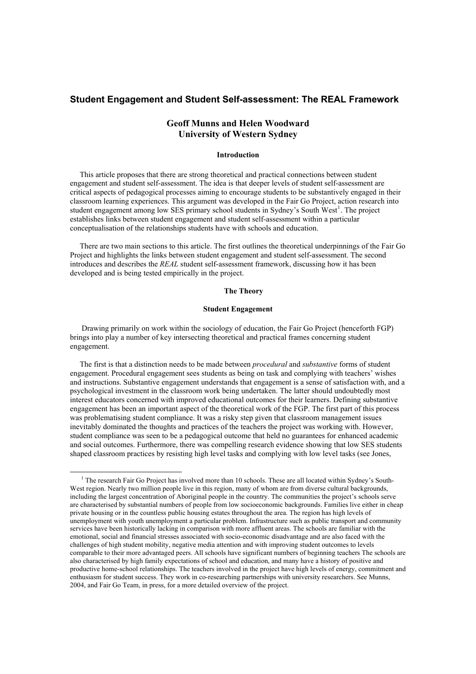## **Student Engagement and Student Self-assessment: The REAL Framework**

## **Geoff Munns and Helen Woodward University of Western Sydney**

### **Introduction**

 This article proposes that there are strong theoretical and practical connections between student engagement and student self-assessment. The idea is that deeper levels of student self-assessment are critical aspects of pedagogical processes aiming to encourage students to be substantively engaged in their classroom learning experiences. This argument was developed in the Fair Go Project, action research into student engagement among low SES primary school students in Sydney's South West<sup>1</sup>. The project establishes links between student engagement and student self-assessment within a particular conceptualisation of the relationships students have with schools and education.

 There are two main sections to this article. The first outlines the theoretical underpinnings of the Fair Go Project and highlights the links between student engagement and student self-assessment. The second introduces and describes the *REAL* student self-assessment framework, discussing how it has been developed and is being tested empirically in the project.

### **The Theory**

#### **Student Engagement**

 Drawing primarily on work within the sociology of education, the Fair Go Project (henceforth FGP) brings into play a number of key intersecting theoretical and practical frames concerning student engagement.

 The first is that a distinction needs to be made between *procedural* and *substantive* forms of student engagement. Procedural engagement sees students as being on task and complying with teachers' wishes and instructions. Substantive engagement understands that engagement is a sense of satisfaction with, and a psychological investment in the classroom work being undertaken. The latter should undoubtedly most interest educators concerned with improved educational outcomes for their learners. Defining substantive engagement has been an important aspect of the theoretical work of the FGP. The first part of this process was problematising student compliance. It was a risky step given that classroom management issues inevitably dominated the thoughts and practices of the teachers the project was working with. However, student compliance was seen to be a pedagogical outcome that held no guarantees for enhanced academic and social outcomes. Furthermore, there was compelling research evidence showing that low SES students shaped classroom practices by resisting high level tasks and complying with low level tasks (see Jones,

 <sup>1</sup>  $1$  The research Fair Go Project has involved more than 10 schools. These are all located within Sydney's South-West region. Nearly two million people live in this region, many of whom are from diverse cultural backgrounds, including the largest concentration of Aboriginal people in the country. The communities the project's schools serve are characterised by substantial numbers of people from low socioeconomic backgrounds. Families live either in cheap private housing or in the countless public housing estates throughout the area. The region has high levels of unemployment with youth unemployment a particular problem. Infrastructure such as public transport and community services have been historically lacking in comparison with more affluent areas. The schools are familiar with the emotional, social and financial stresses associated with socio-economic disadvantage and are also faced with the challenges of high student mobility, negative media attention and with improving student outcomes to levels comparable to their more advantaged peers. All schools have significant numbers of beginning teachers The schools are also characterised by high family expectations of school and education, and many have a history of positive and productive home-school relationships. The teachers involved in the project have high levels of energy, commitment and enthusiasm for student success. They work in co-researching partnerships with university researchers. See Munns, 2004, and Fair Go Team, in press, for a more detailed overview of the project.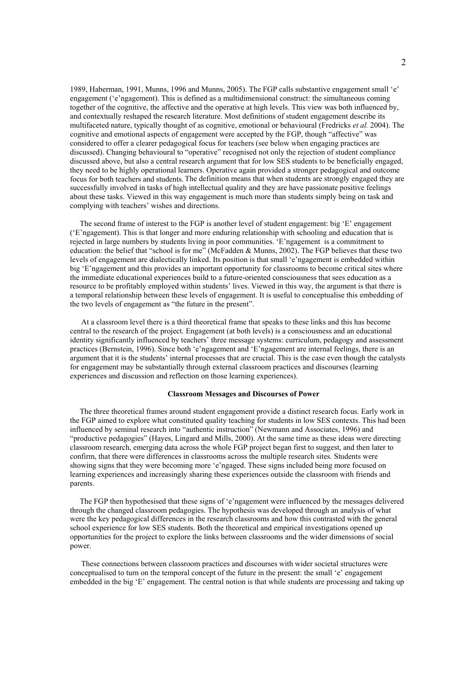1989, Haberman, 1991, Munns, 1996 and Munns, 2005). The FGP calls substantive engagement small 'e' engagement ('e'ngagement). This is defined as a multidimensional construct: the simultaneous coming together of the cognitive, the affective and the operative at high levels. This view was both influenced by, and contextually reshaped the research literature. Most definitions of student engagement describe its multifaceted nature, typically thought of as cognitive, emotional or behavioural (Fredricks *et al.* 2004). The cognitive and emotional aspects of engagement were accepted by the FGP, though "affective" was considered to offer a clearer pedagogical focus for teachers (see below when engaging practices are discussed). Changing behavioural to "operative" recognised not only the rejection of student compliance discussed above, but also a central research argument that for low SES students to be beneficially engaged, they need to be highly operational learners. Operative again provided a stronger pedagogical and outcome focus for both teachers and students. The definition means that when students are strongly engaged they are successfully involved in tasks of high intellectual quality and they are have passionate positive feelings about these tasks. Viewed in this way engagement is much more than students simply being on task and complying with teachers' wishes and directions.

 The second frame of interest to the FGP is another level of student engagement: big 'E' engagement ('E'ngagement). This is that longer and more enduring relationship with schooling and education that is rejected in large numbers by students living in poor communities. 'E'ngagement is a commitment to education: the belief that "school is for me" (McFadden & Munns, 2002). The FGP believes that these two levels of engagement are dialectically linked. Its position is that small 'e'ngagement is embedded within big 'E'ngagement and this provides an important opportunity for classrooms to become critical sites where the immediate educational experiences build to a future-oriented consciousness that sees education as a resource to be profitably employed within students' lives. Viewed in this way, the argument is that there is a temporal relationship between these levels of engagement. It is useful to conceptualise this embedding of the two levels of engagement as "the future in the present".

At a classroom level there is a third theoretical frame that speaks to these links and this has become central to the research of the project. Engagement (at both levels) is a consciousness and an educational identity significantly influenced by teachers' three message systems: curriculum, pedagogy and assessment practices (Bernstein, 1996). Since both 'e'ngagement and 'E'ngagement are internal feelings, there is an argument that it is the students' internal processes that are crucial. This is the case even though the catalysts for engagement may be substantially through external classroom practices and discourses (learning experiences and discussion and reflection on those learning experiences).

### **Classroom Messages and Discourses of Power**

 The three theoretical frames around student engagement provide a distinct research focus. Early work in the FGP aimed to explore what constituted quality teaching for students in low SES contexts. This had been influenced by seminal research into "authentic instruction" (Newmann and Associates, 1996) and "productive pedagogies" (Hayes, Lingard and Mills, 2000). At the same time as these ideas were directing classroom research, emerging data across the whole FGP project began first to suggest, and then later to confirm, that there were differences in classrooms across the multiple research sites. Students were showing signs that they were becoming more 'e'ngaged. These signs included being more focused on learning experiences and increasingly sharing these experiences outside the classroom with friends and parents.

 The FGP then hypothesised that these signs of 'e'ngagement were influenced by the messages delivered through the changed classroom pedagogies. The hypothesis was developed through an analysis of what were the key pedagogical differences in the research classrooms and how this contrasted with the general school experience for low SES students. Both the theoretical and empirical investigations opened up opportunities for the project to explore the links between classrooms and the wider dimensions of social power.

These connections between classroom practices and discourses with wider societal structures were conceptualised to turn on the temporal concept of the future in the present: the small 'e' engagement embedded in the big 'E' engagement. The central notion is that while students are processing and taking up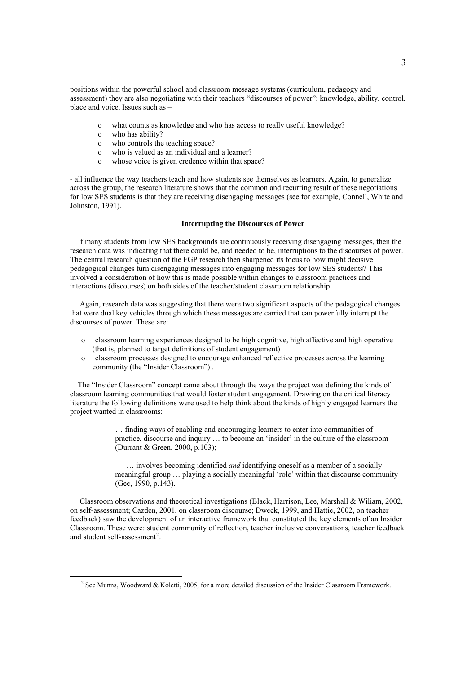positions within the powerful school and classroom message systems (curriculum, pedagogy and assessment) they are also negotiating with their teachers "discourses of power": knowledge, ability, control, place and voice. Issues such as –

- o what counts as knowledge and who has access to really useful knowledge?
- o who has ability?
- o who controls the teaching space?
- o who is valued as an individual and a learner?
- o whose voice is given credence within that space?

- all influence the way teachers teach and how students see themselves as learners. Again, to generalize across the group, the research literature shows that the common and recurring result of these negotiations for low SES students is that they are receiving disengaging messages (see for example, Connell, White and Johnston, 1991).

### **Interrupting the Discourses of Power**

 If many students from low SES backgrounds are continuously receiving disengaging messages, then the research data was indicating that there could be, and needed to be, interruptions to the discourses of power. The central research question of the FGP research then sharpened its focus to how might decisive pedagogical changes turn disengaging messages into engaging messages for low SES students? This involved a consideration of how this is made possible within changes to classroom practices and interactions (discourses) on both sides of the teacher/student classroom relationship.

 Again, research data was suggesting that there were two significant aspects of the pedagogical changes that were dual key vehicles through which these messages are carried that can powerfully interrupt the discourses of power. These are:

- o classroom learning experiences designed to be high cognitive, high affective and high operative (that is, planned to target definitions of student engagement)
- o classroom processes designed to encourage enhanced reflective processes across the learning community (the "Insider Classroom") .

 The "Insider Classroom" concept came about through the ways the project was defining the kinds of classroom learning communities that would foster student engagement. Drawing on the critical literacy literature the following definitions were used to help think about the kinds of highly engaged learners the project wanted in classrooms:

> … finding ways of enabling and encouraging learners to enter into communities of practice, discourse and inquiry … to become an 'insider' in the culture of the classroom (Durrant & Green, 2000, p.103);

… involves becoming identified *and* identifying oneself as a member of a socially meaningful group … playing a socially meaningful 'role' within that discourse community (Gee, 1990, p.143).

 Classroom observations and theoretical investigations (Black, Harrison, Lee, Marshall & Wiliam, 2002, on self-assessment; Cazden, 2001, on classroom discourse; Dweck, 1999, and Hattie, 2002, on teacher feedback) saw the development of an interactive framework that constituted the key elements of an Insider Classroom. These were: student community of reflection, teacher inclusive conversations, teacher feedback and student self-assessment<sup>2</sup>.

 $\frac{1}{2}$ <sup>2</sup> See Munns, Woodward & Koletti, 2005, for a more detailed discussion of the Insider Classroom Framework.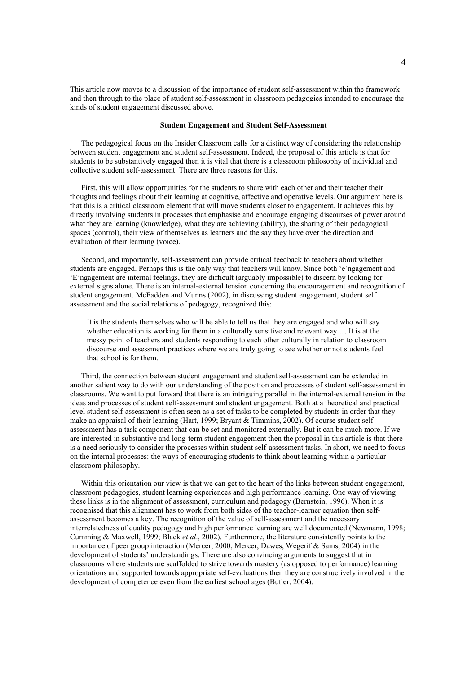This article now moves to a discussion of the importance of student self-assessment within the framework and then through to the place of student self-assessment in classroom pedagogies intended to encourage the kinds of student engagement discussed above.

#### **Student Engagement and Student Self-Assessment**

The pedagogical focus on the Insider Classroom calls for a distinct way of considering the relationship between student engagement and student self-assessment. Indeed, the proposal of this article is that for students to be substantively engaged then it is vital that there is a classroom philosophy of individual and collective student self-assessment. There are three reasons for this.

First, this will allow opportunities for the students to share with each other and their teacher their thoughts and feelings about their learning at cognitive, affective and operative levels. Our argument here is that this is a critical classroom element that will move students closer to engagement. It achieves this by directly involving students in processes that emphasise and encourage engaging discourses of power around what they are learning (knowledge), what they are achieving (ability), the sharing of their pedagogical spaces (control), their view of themselves as learners and the say they have over the direction and evaluation of their learning (voice).

Second, and importantly, self-assessment can provide critical feedback to teachers about whether students are engaged. Perhaps this is the only way that teachers will know. Since both 'e'ngagement and 'E'ngagement are internal feelings, they are difficult (arguably impossible) to discern by looking for external signs alone. There is an internal-external tension concerning the encouragement and recognition of student engagement. McFadden and Munns (2002), in discussing student engagement, student self assessment and the social relations of pedagogy, recognized this:

It is the students themselves who will be able to tell us that they are engaged and who will say whether education is working for them in a culturally sensitive and relevant way ... It is at the messy point of teachers and students responding to each other culturally in relation to classroom discourse and assessment practices where we are truly going to see whether or not students feel that school is for them.

Third, the connection between student engagement and student self-assessment can be extended in another salient way to do with our understanding of the position and processes of student self-assessment in classrooms. We want to put forward that there is an intriguing parallel in the internal-external tension in the ideas and processes of student self-assessment and student engagement. Both at a theoretical and practical level student self-assessment is often seen as a set of tasks to be completed by students in order that they make an appraisal of their learning (Hart, 1999; Bryant & Timmins, 2002). Of course student selfassessment has a task component that can be set and monitored externally. But it can be much more. If we are interested in substantive and long-term student engagement then the proposal in this article is that there is a need seriously to consider the processes within student self-assessment tasks. In short, we need to focus on the internal processes: the ways of encouraging students to think about learning within a particular classroom philosophy.

Within this orientation our view is that we can get to the heart of the links between student engagement, classroom pedagogies, student learning experiences and high performance learning. One way of viewing these links is in the alignment of assessment, curriculum and pedagogy (Bernstein, 1996). When it is recognised that this alignment has to work from both sides of the teacher-learner equation then selfassessment becomes a key. The recognition of the value of self-assessment and the necessary interrelatedness of quality pedagogy and high performance learning are well documented (Newmann, 1998; Cumming & Maxwell, 1999; Black *et al*., 2002). Furthermore, the literature consistently points to the importance of peer group interaction (Mercer, 2000, Mercer, Dawes, Wegerif & Sams, 2004) in the development of students' understandings. There are also convincing arguments to suggest that in classrooms where students are scaffolded to strive towards mastery (as opposed to performance) learning orientations and supported towards appropriate self-evaluations then they are constructively involved in the development of competence even from the earliest school ages (Butler, 2004).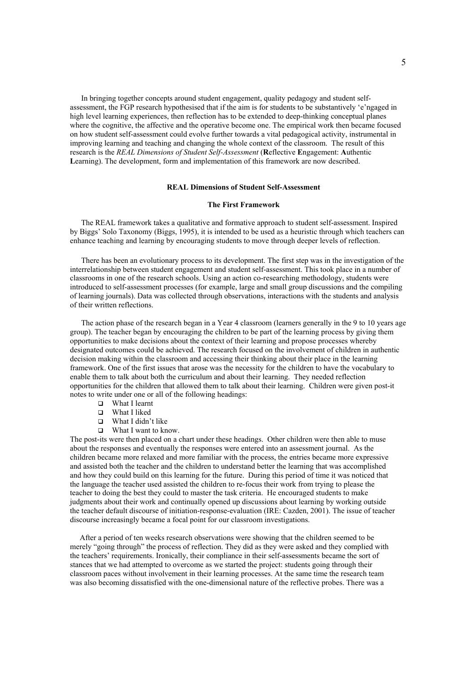In bringing together concepts around student engagement, quality pedagogy and student selfassessment, the FGP research hypothesised that if the aim is for students to be substantively 'e'ngaged in high level learning experiences, then reflection has to be extended to deep-thinking conceptual planes where the cognitive, the affective and the operative become one. The empirical work then became focused on how student self-assessment could evolve further towards a vital pedagogical activity, instrumental in improving learning and teaching and changing the whole context of the classroom. The result of this research is the *REAL Dimensions of Student Self-Assessment* (**R**eflective **E**ngagement: **A**uthentic **L**earning). The development, form and implementation of this framework are now described.

#### **REAL Dimensions of Student Self-Assessment**

### **The First Framework**

The REAL framework takes a qualitative and formative approach to student self-assessment. Inspired by Biggs' Solo Taxonomy (Biggs, 1995), it is intended to be used as a heuristic through which teachers can enhance teaching and learning by encouraging students to move through deeper levels of reflection.

There has been an evolutionary process to its development. The first step was in the investigation of the interrelationship between student engagement and student self-assessment. This took place in a number of classrooms in one of the research schools. Using an action co-researching methodology, students were introduced to self-assessment processes (for example, large and small group discussions and the compiling of learning journals). Data was collected through observations, interactions with the students and analysis of their written reflections.

The action phase of the research began in a Year 4 classroom (learners generally in the 9 to 10 years age group). The teacher began by encouraging the children to be part of the learning process by giving them opportunities to make decisions about the context of their learning and propose processes whereby designated outcomes could be achieved. The research focused on the involvement of children in authentic decision making within the classroom and accessing their thinking about their place in the learning framework. One of the first issues that arose was the necessity for the children to have the vocabulary to enable them to talk about both the curriculum and about their learning. They needed reflection opportunities for the children that allowed them to talk about their learning. Children were given post-it notes to write under one or all of the following headings:

- □ What I learnt
- What I liked
- □ What I didn't like
- □ What I want to know.

The post-its were then placed on a chart under these headings. Other children were then able to muse about the responses and eventually the responses were entered into an assessment journal. As the children became more relaxed and more familiar with the process, the entries became more expressive and assisted both the teacher and the children to understand better the learning that was accomplished and how they could build on this learning for the future. During this period of time it was noticed that the language the teacher used assisted the children to re-focus their work from trying to please the teacher to doing the best they could to master the task criteria. He encouraged students to make judgments about their work and continually opened up discussions about learning by working outside the teacher default discourse of initiation-response-evaluation (IRE: Cazden, 2001). The issue of teacher discourse increasingly became a focal point for our classroom investigations.

 After a period of ten weeks research observations were showing that the children seemed to be merely "going through" the process of reflection. They did as they were asked and they complied with the teachers' requirements. Ironically, their compliance in their self-assessments became the sort of stances that we had attempted to overcome as we started the project: students going through their classroom paces without involvement in their learning processes. At the same time the research team was also becoming dissatisfied with the one-dimensional nature of the reflective probes. There was a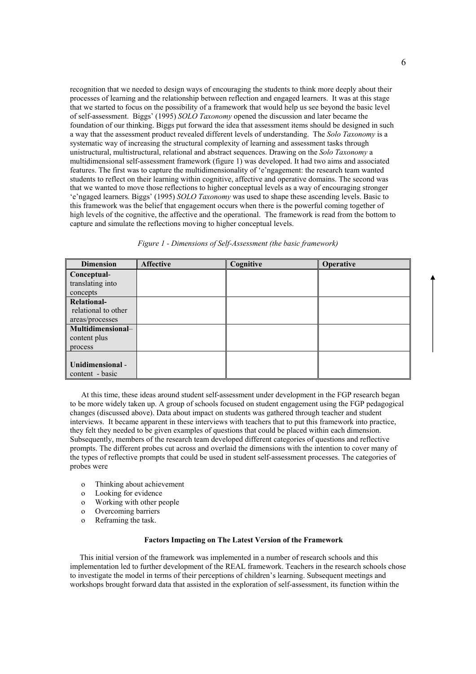recognition that we needed to design ways of encouraging the students to think more deeply about their processes of learning and the relationship between reflection and engaged learners. It was at this stage that we started to focus on the possibility of a framework that would help us see beyond the basic level of self-assessment. Biggs' (1995) *SOLO Taxonomy* opened the discussion and later became the foundation of our thinking. Biggs put forward the idea that assessment items should be designed in such a way that the assessment product revealed different levels of understanding. The *Solo Taxonomy* is a systematic way of increasing the structural complexity of learning and assessment tasks through unistructural, multistructural, relational and abstract sequences. Drawing on the *Solo Taxonomy* a multidimensional self-assessment framework (figure 1) was developed. It had two aims and associated features. The first was to capture the multidimensionality of 'e'ngagement: the research team wanted students to reflect on their learning within cognitive, affective and operative domains. The second was that we wanted to move those reflections to higher conceptual levels as a way of encouraging stronger 'e'ngaged learners. Biggs' (1995) *SOLO Taxonomy* was used to shape these ascending levels. Basic to this framework was the belief that engagement occurs when there is the powerful coming together of high levels of the cognitive, the affective and the operational. The framework is read from the bottom to capture and simulate the reflections moving to higher conceptual levels.

| <b>Dimension</b>    | <b>Affective</b> | Cognitive | <b>Operative</b> |
|---------------------|------------------|-----------|------------------|
| Conceptual-         |                  |           |                  |
| translating into    |                  |           |                  |
| concepts            |                  |           |                  |
| <b>Relational-</b>  |                  |           |                  |
| relational to other |                  |           |                  |
| areas/processes     |                  |           |                  |
| Multidimensional-   |                  |           |                  |
| content plus        |                  |           |                  |
| process             |                  |           |                  |
|                     |                  |           |                  |
| Unidimensional -    |                  |           |                  |
| content - basic     |                  |           |                  |

#### *Figure 1 - Dimensions of Self-Assessment (the basic framework)*

At this time, these ideas around student self-assessment under development in the FGP research began to be more widely taken up. A group of schools focused on student engagement using the FGP pedagogical changes (discussed above). Data about impact on students was gathered through teacher and student interviews. It became apparent in these interviews with teachers that to put this framework into practice, they felt they needed to be given examples of questions that could be placed within each dimension. Subsequently, members of the research team developed different categories of questions and reflective prompts. The different probes cut across and overlaid the dimensions with the intention to cover many of the types of reflective prompts that could be used in student self-assessment processes. The categories of probes were

- o Thinking about achievement
- o Looking for evidence
- o Working with other people
- o Overcoming barriers
- o Reframing the task.

### **Factors Impacting on The Latest Version of the Framework**

 This initial version of the framework was implemented in a number of research schools and this implementation led to further development of the REAL framework. Teachers in the research schools chose to investigate the model in terms of their perceptions of children's learning. Subsequent meetings and workshops brought forward data that assisted in the exploration of self-assessment, its function within the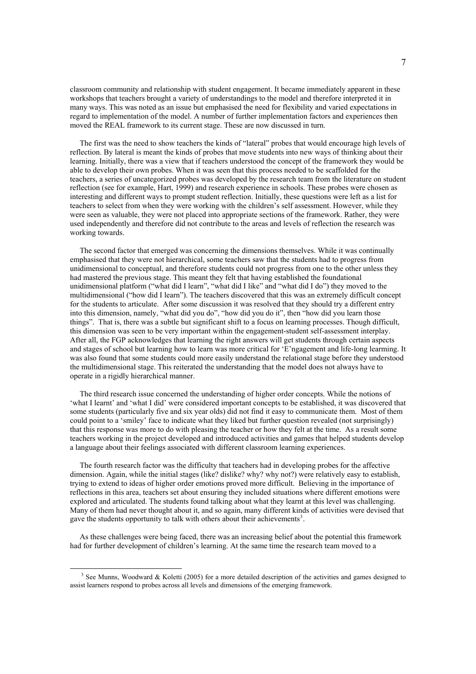classroom community and relationship with student engagement. It became immediately apparent in these workshops that teachers brought a variety of understandings to the model and therefore interpreted it in many ways. This was noted as an issue but emphasised the need for flexibility and varied expectations in regard to implementation of the model. A number of further implementation factors and experiences then moved the REAL framework to its current stage. These are now discussed in turn.

 The first was the need to show teachers the kinds of "lateral" probes that would encourage high levels of reflection. By lateral is meant the kinds of probes that move students into new ways of thinking about their learning. Initially, there was a view that if teachers understood the concept of the framework they would be able to develop their own probes. When it was seen that this process needed to be scaffolded for the teachers, a series of uncategorized probes was developed by the research team from the literature on student reflection (see for example, Hart, 1999) and research experience in schools. These probes were chosen as interesting and different ways to prompt student reflection. Initially, these questions were left as a list for teachers to select from when they were working with the children's self assessment. However, while they were seen as valuable, they were not placed into appropriate sections of the framework. Rather, they were used independently and therefore did not contribute to the areas and levels of reflection the research was working towards.

 The second factor that emerged was concerning the dimensions themselves. While it was continually emphasised that they were not hierarchical, some teachers saw that the students had to progress from unidimensional to conceptual, and therefore students could not progress from one to the other unless they had mastered the previous stage. This meant they felt that having established the foundational unidimensional platform ("what did I learn", "what did I like" and "what did I do") they moved to the multidimensional ("how did I learn"). The teachers discovered that this was an extremely difficult concept for the students to articulate. After some discussion it was resolved that they should try a different entry into this dimension, namely, "what did you do", "how did you do it", then "how did you learn those things". That is, there was a subtle but significant shift to a focus on learning processes. Though difficult, this dimension was seen to be very important within the engagement-student self-assessment interplay. After all, the FGP acknowledges that learning the right answers will get students through certain aspects and stages of school but learning how to learn was more critical for 'E'ngagement and life-long learming. It was also found that some students could more easily understand the relational stage before they understood the multidimensional stage. This reiterated the understanding that the model does not always have to operate in a rigidly hierarchical manner.

 The third research issue concerned the understanding of higher order concepts. While the notions of 'what I learnt' and 'what I did' were considered important concepts to be established, it was discovered that some students (particularly five and six year olds) did not find it easy to communicate them. Most of them could point to a 'smiley' face to indicate what they liked but further question revealed (not surprisingly) that this response was more to do with pleasing the teacher or how they felt at the time. As a result some teachers working in the project developed and introduced activities and games that helped students develop a language about their feelings associated with different classroom learning experiences.

 The fourth research factor was the difficulty that teachers had in developing probes for the affective dimension. Again, while the initial stages (like? dislike? why? why not?) were relatively easy to establish, trying to extend to ideas of higher order emotions proved more difficult. Believing in the importance of reflections in this area, teachers set about ensuring they included situations where different emotions were explored and articulated. The students found talking about what they learnt at this level was challenging. Many of them had never thought about it, and so again, many different kinds of activities were devised that gave the students opportunity to talk with others about their achievements<sup>3</sup>.

 As these challenges were being faced, there was an increasing belief about the potential this framework had for further development of children's learning. At the same time the research team moved to a

 <sup>3</sup> <sup>3</sup> See Munns, Woodward & Koletti (2005) for a more detailed description of the activities and games designed to assist learners respond to probes across all levels and dimensions of the emerging framework.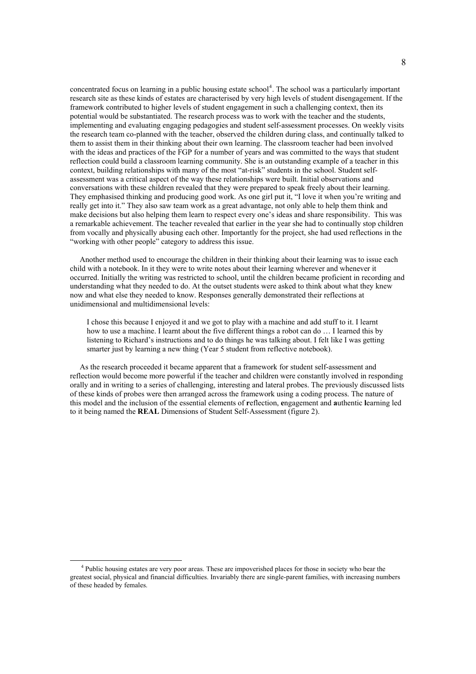concentrated focus on learning in a public housing estate school<sup>4</sup>. The school was a particularly important research site as these kinds of estates are characterised by very high levels of student disengagement. If the framework contributed to higher levels of student engagement in such a challenging context, then its potential would be substantiated. The research process was to work with the teacher and the students, implementing and evaluating engaging pedagogies and student self-assessment processes. On weekly visits the research team co-planned with the teacher, observed the children during class, and continually talked to them to assist them in their thinking about their own learning. The classroom teacher had been involved with the ideas and practices of the FGP for a number of years and was committed to the ways that student reflection could build a classroom learning community. She is an outstanding example of a teacher in this context, building relationships with many of the most "at-risk" students in the school. Student selfassessment was a critical aspect of the way these relationships were built. Initial observations and conversations with these children revealed that they were prepared to speak freely about their learning. They emphasised thinking and producing good work. As one girl put it, "I love it when you're writing and really get into it." They also saw team work as a great advantage, not only able to help them think and make decisions but also helping them learn to respect every one's ideas and share responsibility. This was a remarkable achievement. The teacher revealed that earlier in the year she had to continually stop children from vocally and physically abusing each other. Importantly for the project, she had used reflections in the "working with other people" category to address this issue.

 Another method used to encourage the children in their thinking about their learning was to issue each child with a notebook. In it they were to write notes about their learning wherever and whenever it occurred. Initially the writing was restricted to school, until the children became proficient in recording and understanding what they needed to do. At the outset students were asked to think about what they knew now and what else they needed to know. Responses generally demonstrated their reflections at unidimensional and multidimensional levels:

I chose this because I enjoyed it and we got to play with a machine and add stuff to it. I learnt how to use a machine. I learnt about the five different things a robot can do … I learned this by listening to Richard's instructions and to do things he was talking about. I felt like I was getting smarter just by learning a new thing (Year 5 student from reflective notebook).

 As the research proceeded it became apparent that a framework for student self-assessment and reflection would become more powerful if the teacher and children were constantly involved in responding orally and in writing to a series of challenging, interesting and lateral probes. The previously discussed lists of these kinds of probes were then arranged across the framework using a coding process. The nature of this model and the inclusion of the essential elements of **r**eflection, **e**ngagement and **a**uthentic **l**earning led to it being named the **REAL** Dimensions of Student Self-Assessment (figure 2).

 <sup>4</sup> Public housing estates are very poor areas. These are impoverished places for those in society who bear the greatest social, physical and financial difficulties. Invariably there are single-parent families, with increasing numbers of these headed by females.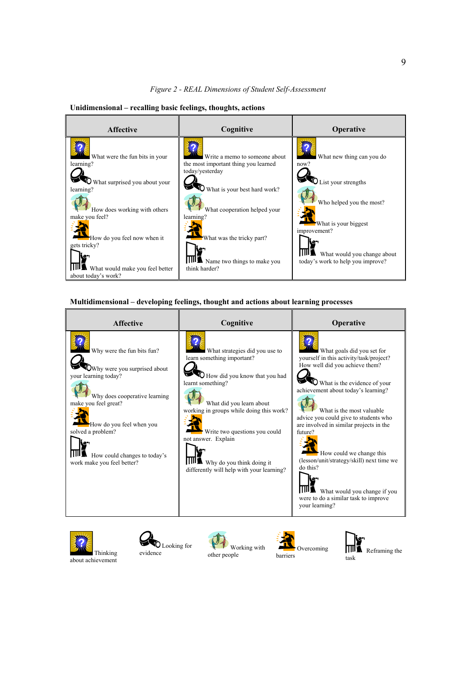## *Figure 2 - REAL Dimensions of Student Self-Assessment*

## **Unidimensional – recalling basic feelings, thoughts, actions**

| <b>Affective</b>                                                                                                                                                                                                                                             | Cognitive                                                                                                                                                                                                                                                           | <b>Operative</b>                                                                                                                                                                                                 |
|--------------------------------------------------------------------------------------------------------------------------------------------------------------------------------------------------------------------------------------------------------------|---------------------------------------------------------------------------------------------------------------------------------------------------------------------------------------------------------------------------------------------------------------------|------------------------------------------------------------------------------------------------------------------------------------------------------------------------------------------------------------------|
| What were the fun bits in your<br>learning?<br>What surprised you about your<br>learning?<br>How does working with others<br>make you feel?<br>How do you feel now when it<br>gets tricky?<br>بحجا<br>What would make you feel better<br>about today's work? | Write a memo to someone about<br>the most important thing you learned<br>today/yesterday<br>O What is your best hard work?<br>What cooperation helped your<br>learning?<br>What was the tricky part?<br><b>LOTE</b><br>Name two things to make you<br>think harder? | What new thing can you do<br>now?<br><b>O</b> List your strengths<br>Who helped you the most?<br>What is your biggest<br>improvement?<br>ייה<br>What would you change about<br>today's work to help you improve? |

## **Multidimensional – developing feelings, thought and actions about learning processes**

| <b>Affective</b>                                                                                                                                                                                                                                           | Cognitive                                                                                                                                                                                                                                                                                                                      | <b>Operative</b>                                                                                                                                                                                                                                                                                                                                                                                                                                                                                   |
|------------------------------------------------------------------------------------------------------------------------------------------------------------------------------------------------------------------------------------------------------------|--------------------------------------------------------------------------------------------------------------------------------------------------------------------------------------------------------------------------------------------------------------------------------------------------------------------------------|----------------------------------------------------------------------------------------------------------------------------------------------------------------------------------------------------------------------------------------------------------------------------------------------------------------------------------------------------------------------------------------------------------------------------------------------------------------------------------------------------|
| Why were the fun bits fun?<br>Why were you surprised about<br>your learning today?<br>Why does cooperative learning<br>make you feel great?<br>How do you feel when you<br>solved a problem?<br>How could changes to today's<br>work make you feel better? | What strategies did you use to<br>learn something important?<br>O How did you know that you had<br>learnt something?<br>What did you learn about<br>working in groups while doing this work?<br>Write two questions you could<br>not answer. Explain<br>Why do you think doing it<br>differently will help with your learning? | What goals did you set for<br>yourself in this activity/task/project?<br>How well did you achieve them?<br><b>O</b> What is the evidence of your<br>achievement about today's learning?<br>What is the most valuable<br>advice you could give to students who<br>are involved in similar projects in the<br>future?<br>How could we change this<br>(lesson/unit/strategy/skill) next time we<br>do this?<br>What would you change if you<br>were to do a similar task to improve<br>your learning? |









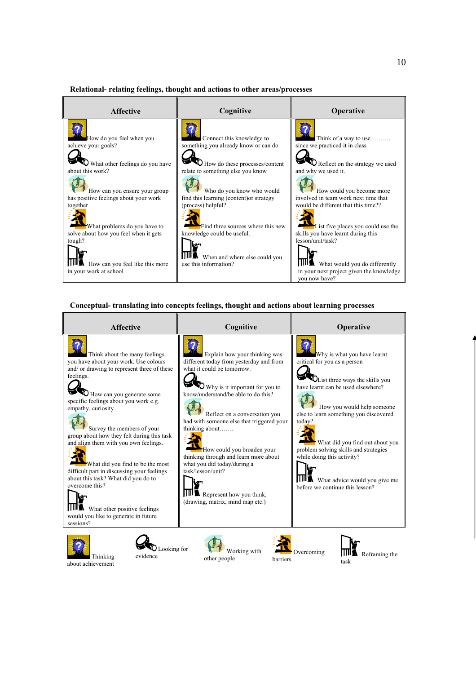# **Relational- relating feelings, thought and actions to other areas/processes**

| Connect this knowledge to<br>How do you feel when you<br>Think of a way to use<br>achieve your goals?<br>something you already know or can do<br>since we practiced it in class<br>What other feelings do you have<br>U How do these processes/content<br>about this work?<br>relate to something else you know<br>and why we used it.<br>Who do you know who would<br>How could you become more<br>How can you ensure your group<br>involved in team work next time that<br>has positive feelings about your work<br>find this learning (content) or strategy<br>(process) helpful?<br>would be different that this time??<br>together | <b>Affective</b> | Cognitive | <b>Operative</b>                                                                                                                                     |
|-----------------------------------------------------------------------------------------------------------------------------------------------------------------------------------------------------------------------------------------------------------------------------------------------------------------------------------------------------------------------------------------------------------------------------------------------------------------------------------------------------------------------------------------------------------------------------------------------------------------------------------------|------------------|-----------|------------------------------------------------------------------------------------------------------------------------------------------------------|
| Find three sources where this new<br>What problems do you have to<br>skills you have learnt during this<br>solve about how you feel when it gets<br>knowledge could be useful.<br>lesson/unit/task?<br>tough?<br>When and where else could you<br>use this information?<br>How can you feel like this more<br>in your work at school<br>you now have?                                                                                                                                                                                                                                                                                   |                  |           | O Reflect on the strategy we used<br>List five places you could use the<br>What would you do differently<br>in your next project given the knowledge |

# **Conceptual- translating into concepts feelings, thought and actions about learning processes**

| <b>Affective</b>                                                                                                                                                                                                                                                                                                                                                                                                                                                                                                                                                                          | Cognitive                                                                                                                                                                                                                                                                                                                                                                                                                                                                  | <b>Operative</b>                                                                                                                                                                                                                                                                                                                                                                                     |
|-------------------------------------------------------------------------------------------------------------------------------------------------------------------------------------------------------------------------------------------------------------------------------------------------------------------------------------------------------------------------------------------------------------------------------------------------------------------------------------------------------------------------------------------------------------------------------------------|----------------------------------------------------------------------------------------------------------------------------------------------------------------------------------------------------------------------------------------------------------------------------------------------------------------------------------------------------------------------------------------------------------------------------------------------------------------------------|------------------------------------------------------------------------------------------------------------------------------------------------------------------------------------------------------------------------------------------------------------------------------------------------------------------------------------------------------------------------------------------------------|
| WW<br>Think about the many feelings<br>you have about your work. Use colours<br>and/ or drawing to represent three of these<br>feelings.<br>How can you generate some<br>specific feelings about you work e.g.<br>empathy, curiosity<br>Survey the members of your<br>group about how they felt during this task<br>and align them with you own feelings.<br>What did you find to be the most<br>difficult part in discussing your feelings<br>about this task? What did you do to<br>overcome this?<br>What other positive feelings<br>would you like to generate in future<br>sessions? | Explain how your thinking was<br>different today from yesterday and from<br>what it could be tomorrow.<br>Why is it important for you to<br>know/understand/be able to do this?<br>Reflect on a conversation you<br>had with someone else that triggered your<br>thinking about<br>How could you broaden your<br>thinking through and learn more about<br>what you did today/during a<br>task/lesson/unit?<br>Represent how you think,<br>(drawing, matrix, mind map etc.) | Why is what you have learnt<br>critical for you as a person<br>UList three ways the skills you<br>have learnt can be used elsewhere?<br>How you would help someone<br>else to learn something you discovered<br>today?<br>What did you find out about you<br>problem solving skills and strategies<br>while doing this activity?<br>What advice would you give me<br>before we continue this lesson? |
| ooking for<br>evidence<br>Thinking                                                                                                                                                                                                                                                                                                                                                                                                                                                                                                                                                        | Working with<br>other people<br>barriers                                                                                                                                                                                                                                                                                                                                                                                                                                   | Overcoming<br>Reframing the                                                                                                                                                                                                                                                                                                                                                                          |

Thinking ŀ about achievement



 $\begin{array}{ccc}\n\hline\n\text{1}\n\end{array}$  Overcoming<br>barriers the task task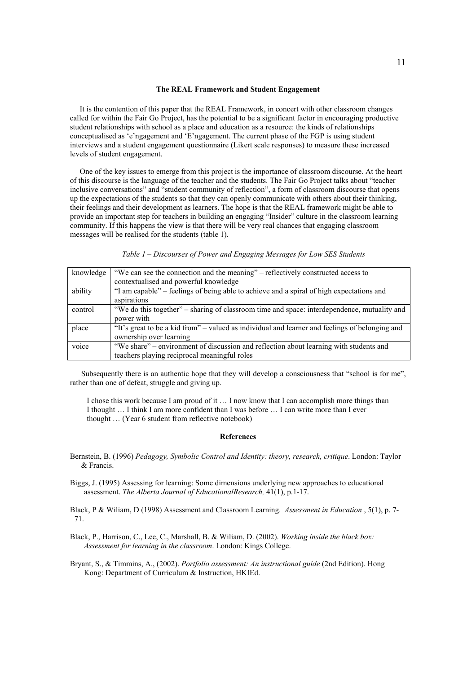#### **The REAL Framework and Student Engagement**

 It is the contention of this paper that the REAL Framework, in concert with other classroom changes called for within the Fair Go Project, has the potential to be a significant factor in encouraging productive student relationships with school as a place and education as a resource: the kinds of relationships conceptualised as 'e'ngagement and 'E'ngagement. The current phase of the FGP is using student interviews and a student engagement questionnaire (Likert scale responses) to measure these increased levels of student engagement.

 One of the key issues to emerge from this project is the importance of classroom discourse. At the heart of this discourse is the language of the teacher and the students. The Fair Go Project talks about "teacher inclusive conversations" and "student community of reflection", a form of classroom discourse that opens up the expectations of the students so that they can openly communicate with others about their thinking, their feelings and their development as learners. The hope is that the REAL framework might be able to provide an important step for teachers in building an engaging "Insider" culture in the classroom learning community. If this happens the view is that there will be very real chances that engaging classroom messages will be realised for the students (table 1).

| Table 1 – Discourses of Power and Engaging Messages for Low SES Students |  |  |
|--------------------------------------------------------------------------|--|--|
|                                                                          |  |  |

| knowledge | "We can see the connection and the meaning" – reflectively constructed access to               |
|-----------|------------------------------------------------------------------------------------------------|
|           | contextualised and powerful knowledge                                                          |
| ability   | "I am capable" – feelings of being able to achieve and a spiral of high expectations and       |
|           | aspirations                                                                                    |
| control   | "We do this together" – sharing of classroom time and space: interdependence, mutuality and    |
|           | power with                                                                                     |
| place     | "It's great to be a kid from" – valued as individual and learner and feelings of belonging and |
|           | ownership over learning                                                                        |
| voice     | "We share" – environment of discussion and reflection about learning with students and         |
|           | teachers playing reciprocal meaningful roles                                                   |

Subsequently there is an authentic hope that they will develop a consciousness that "school is for me", rather than one of defeat, struggle and giving up.

I chose this work because I am proud of it … I now know that I can accomplish more things than I thought … I think I am more confident than I was before … I can write more than I ever thought … (Year 6 student from reflective notebook)

### **References**

- Bernstein, B. (1996) *Pedagogy, Symbolic Control and Identity: theory, research, critique*. London: Taylor & Francis.
- Biggs, J. (1995) Assessing for learning: Some dimensions underlying new approaches to educational assessment. *The Alberta Journal of EducationalResearch,* 41(1), p.1-17.

Black, P & Wiliam, D (1998) Assessment and Classroom Learning. *Assessment in Education* , 5(1), p. 7- 71.

Black, P., Harrison, C., Lee, C., Marshall, B. & Wiliam, D. (2002). *Working inside the black box: Assessment for learning in the classroom*. London: Kings College.

Bryant, S., & Timmins, A., (2002). *Portfolio assessment: An instructional guide* (2nd Edition). Hong Kong: Department of Curriculum & Instruction, HKIEd.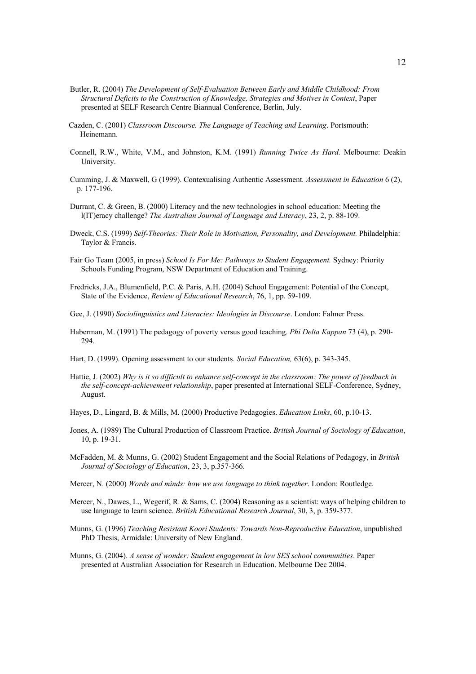- Butler, R. (2004) *The Development of Self-Evaluation Between Early and Middle Childhood: From Structural Deficits to the Construction of Knowledge, Strategies and Motives in Context*, Paper presented at SELF Research Centre Biannual Conference, Berlin, July.
- Cazden, C. (2001) *Classroom Discourse. The Language of Teaching and Learning*. Portsmouth: Heinemann.
- Connell, R.W., White, V.M., and Johnston, K.M. (1991) *Running Twice As Hard.* Melbourne: Deakin University.
- Cumming, J. & Maxwell, G (1999). Contexualising Authentic Assessment*. Assessment in Education* 6 (2), p. 177-196.
- Durrant, C. & Green, B. (2000) Literacy and the new technologies in school education: Meeting the l(IT)eracy challenge? *The Australian Journal of Language and Literacy*, 23, 2, p. 88-109.
- Dweck, C.S. (1999) *Self-Theories: Their Role in Motivation, Personality, and Development.* Philadelphia: Taylor & Francis.
- Fair Go Team (2005, in press) *School Is For Me: Pathways to Student Engagement.* Sydney: Priority Schools Funding Program, NSW Department of Education and Training.
- Fredricks, J.A., Blumenfield, P.C. & Paris, A.H. (2004) School Engagement: Potential of the Concept, State of the Evidence, *Review of Educational Research*, 76, 1, pp. 59-109.
- Gee, J. (1990) *Sociolinguistics and Literacies: Ideologies in Discourse*. London: Falmer Press.
- Haberman, M. (1991) The pedagogy of poverty versus good teaching. *Phi Delta Kappan* 73 (4), p. 290- 294.
- Hart, D. (1999). Opening assessment to our students*. Social Education,* 63(6), p. 343-345.
- Hattie, J. (2002) *Why is it so difficult to enhance self-concept in the classroom: The power of feedback in the self-concept-achievement relationship*, paper presented at International SELF-Conference, Sydney, August.

Hayes, D., Lingard, B. & Mills, M. (2000) Productive Pedagogies. *Education Links*, 60, p.10-13.

- Jones, A. (1989) The Cultural Production of Classroom Practice. *British Journal of Sociology of Education*, 10, p. 19-31.
- McFadden, M. & Munns, G. (2002) Student Engagement and the Social Relations of Pedagogy, in *British Journal of Sociology of Education*, 23, 3, p.357-366.
- Mercer, N. (2000) *Words and minds: how we use language to think together*. London: Routledge.
- Mercer, N., Dawes, L., Wegerif, R. & Sams, C. (2004) Reasoning as a scientist: ways of helping children to use language to learn science. *British Educational Research Journal*, 30, 3, p. 359-377.
- Munns, G. (1996) *Teaching Resistant Koori Students: Towards Non-Reproductive Education*, unpublished PhD Thesis, Armidale: University of New England.
- Munns, G. (2004). *A sense of wonder: Student engagement in low SES school communities*. Paper presented at Australian Association for Research in Education. Melbourne Dec 2004.